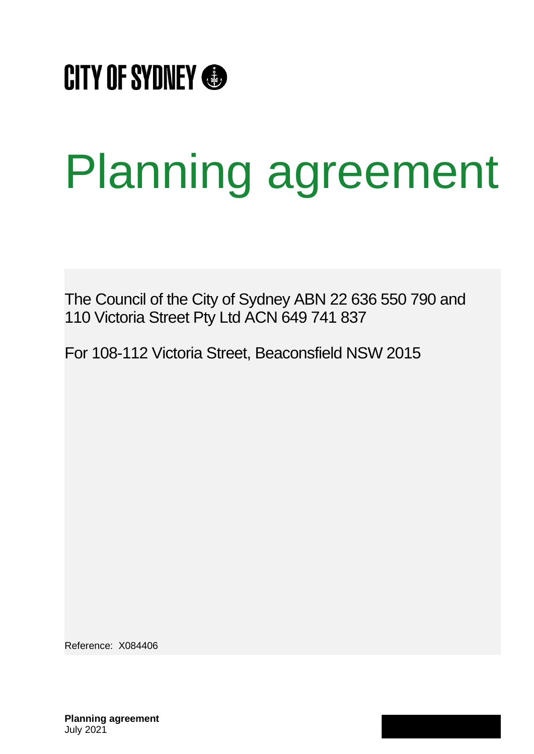

# Planning agreement

The Council of the City of Sydney ABN 22 636 550 790 and 110 Victoria Street Pty Ltd ACN 649 741 837

For 108-112 Victoria Street, Beaconsfield NSW 2015

Reference: X084406

**Planning agreement** July 2021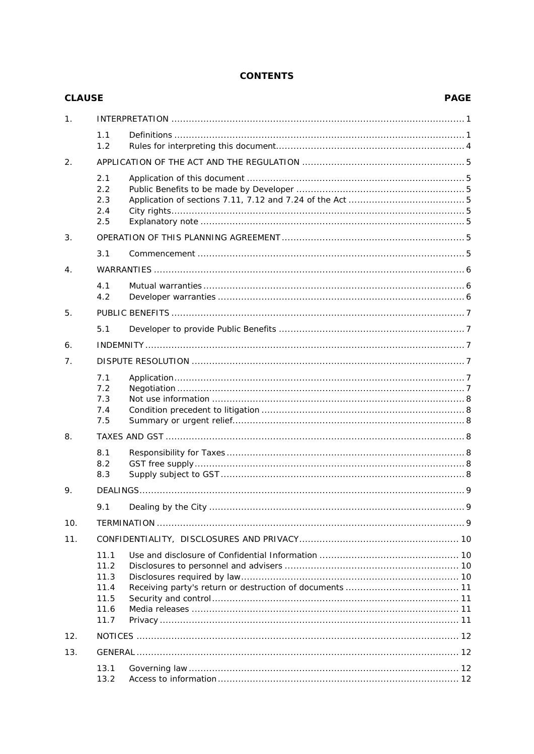# **CONTENTS**

| <b>CLAUSE</b> |                                                      | <b>PAGE</b> |  |
|---------------|------------------------------------------------------|-------------|--|
| 1.            |                                                      |             |  |
|               | 1.1<br>1.2                                           |             |  |
| 2.            |                                                      |             |  |
|               | 2.1<br>2.2<br>2.3<br>2.4<br>2.5                      |             |  |
| 3.            |                                                      |             |  |
|               | 3.1                                                  |             |  |
| 4.            |                                                      |             |  |
|               | 4.1<br>4.2                                           |             |  |
| 5.            |                                                      |             |  |
|               | 5.1                                                  |             |  |
| 6.            |                                                      |             |  |
| 7.            |                                                      |             |  |
|               | 7.1<br>7.2<br>7.3<br>7.4<br>7.5                      |             |  |
| 8.            |                                                      |             |  |
|               | 8.1<br>8.2<br>8.3                                    |             |  |
| 9.            |                                                      |             |  |
|               | 9.1                                                  |             |  |
| 10.           |                                                      |             |  |
| 11.           |                                                      |             |  |
|               | 11.1<br>11.2<br>11.3<br>11.4<br>11.5<br>11.6<br>11.7 |             |  |
| 12.           |                                                      |             |  |
| 13.           |                                                      |             |  |
|               | 13.1<br>13.2                                         |             |  |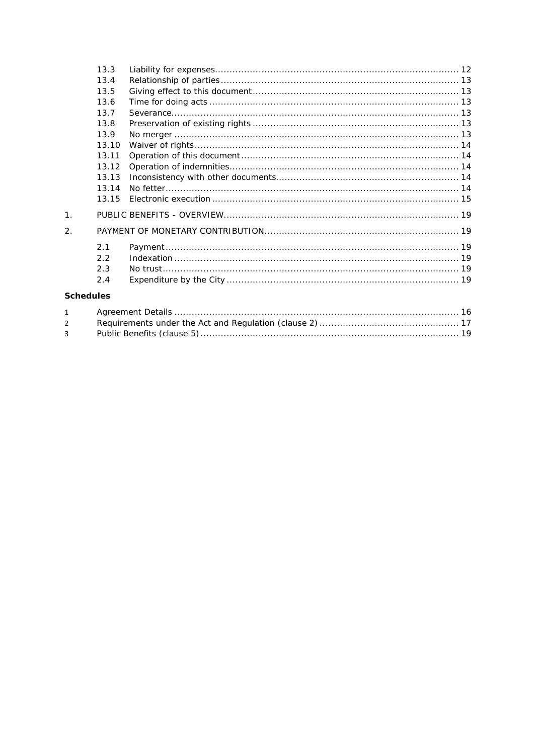|                  | 13.3  |  |
|------------------|-------|--|
|                  | 13.4  |  |
|                  | 13.5  |  |
|                  | 13.6  |  |
|                  | 13.7  |  |
|                  | 13.8  |  |
|                  | 13.9  |  |
|                  | 13.10 |  |
|                  | 13.11 |  |
|                  | 13.12 |  |
|                  | 13.13 |  |
|                  | 13.14 |  |
|                  | 13.15 |  |
| 1 <sub>1</sub>   |       |  |
| $\overline{2}$ . |       |  |
|                  | 2.1   |  |
|                  | 2.2   |  |
|                  | 2.3   |  |
|                  | 2.4   |  |
| <b>Schedules</b> |       |  |
|                  |       |  |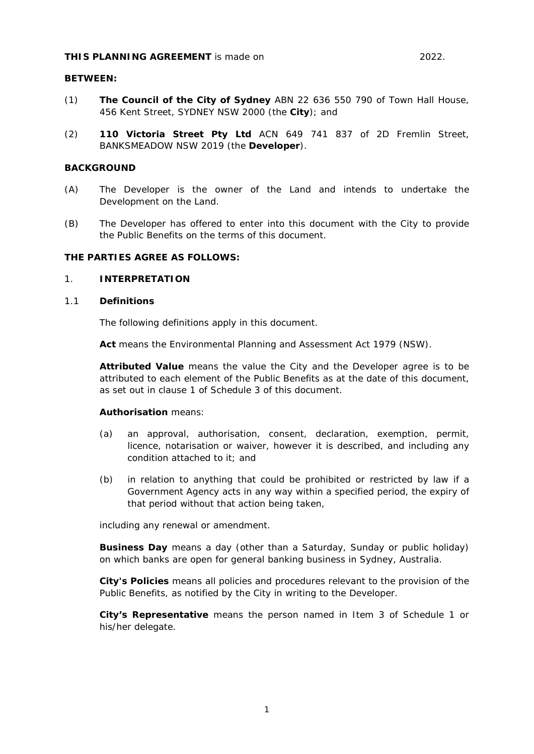#### **THIS PLANNING AGREEMENT** is made on 2022.

#### **BETWEEN:**

- (1) **The Council of the City of Sydney** ABN 22 636 550 790 of Town Hall House, 456 Kent Street, SYDNEY NSW 2000 (the **City**); and
- (2) **110 Victoria Street Pty Ltd** ACN 649 741 837 of 2D Fremlin Street, BANKSMEADOW NSW 2019 (the **Developer**).

#### **BACKGROUND**

- (A) The Developer is the owner of the Land and intends to undertake the Development on the Land.
- (B) The Developer has offered to enter into this document with the City to provide the Public Benefits on the terms of this document.

#### **THE PARTIES AGREE AS FOLLOWS:**

#### <span id="page-3-0"></span>1. **INTERPRETATION**

#### <span id="page-3-1"></span>1.1 **Definitions**

The following definitions apply in this document.

**Act** means the *Environmental Planning and Assessment Act 1979 (NSW)*.

**Attributed Value** means the value the City and the Developer agree is to be attributed to each element of the Public Benefits as at the date of this document, as set out in clause [1](#page-21-0) of Schedule 3 of this document.

#### **Authorisation** means:

- (a) an approval, authorisation, consent, declaration, exemption, permit, licence, notarisation or waiver, however it is described, and including any condition attached to it: and
- (b) in relation to anything that could be prohibited or restricted by law if a Government Agency acts in any way within a specified period, the expiry of that period without that action being taken,

including any renewal or amendment.

**Business Day** means a day (other than a Saturday, Sunday or public holiday) on which banks are open for general banking business in Sydney, Australia.

**City's Policies** means all policies and procedures relevant to the provision of the Public Benefits, as notified by the City in writing to the Developer.

**City's Representative** means the person named in Item 3 of [Schedule 1](#page-18-1) or his/her delegate.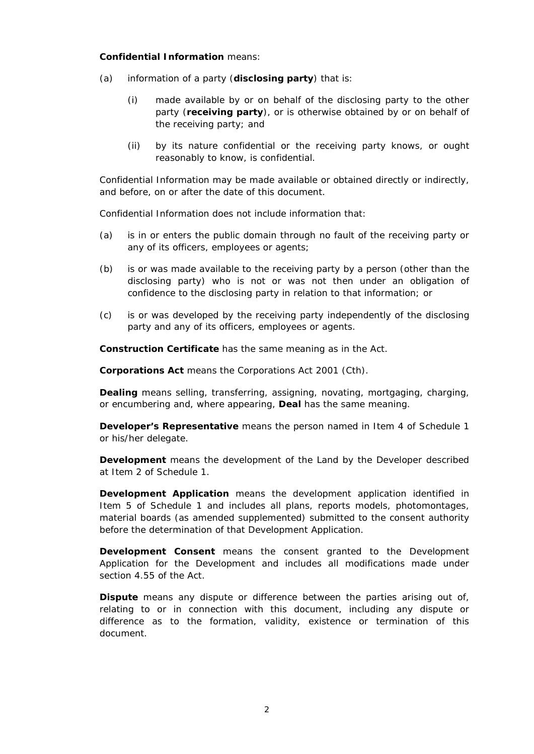#### **Confidential Information** means:

- (a) information of a party (**disclosing party**) that is:
	- (i) made available by or on behalf of the disclosing party to the other party (**receiving party**), or is otherwise obtained by or on behalf of the receiving party; and
	- (ii) by its nature confidential or the receiving party knows, or ought reasonably to know, is confidential.

Confidential Information may be made available or obtained directly or indirectly, and before, on or after the date of this document.

Confidential Information does not include information that:

- (a) is in or enters the public domain through no fault of the receiving party or any of its officers, employees or agents;
- (b) is or was made available to the receiving party by a person (other than the disclosing party) who is not or was not then under an obligation of confidence to the disclosing party in relation to that information; or
- (c) is or was developed by the receiving party independently of the disclosing party and any of its officers, employees or agents.

**Construction Certificate** has the same meaning as in the Act.

**Corporations Act** means the *Corporations Act 2001* (Cth).

**Dealing** means selling, transferring, assigning, novating, mortgaging, charging, or encumbering and, where appearing, **Deal** has the same meaning.

**Developer's Representative** means the person named in Item 4 of [Schedule 1](#page-18-1) or his/her delegate.

**Development** means the development of the Land by the Developer described at Item 2 of [Schedule 1.](#page-18-1)

**Development Application** means the development application identified in Item 5 of [Schedule 1](#page-18-1) and includes all plans, reports models, photomontages, material boards (as amended supplemented) submitted to the consent authority before the determination of that Development Application.

**Development Consent** means the consent granted to the Development Application for the Development and includes all modifications made under section 4.55 of the Act.

**Dispute** means any dispute or difference between the parties arising out of, relating to or in connection with this document, including any dispute or difference as to the formation, validity, existence or termination of this document.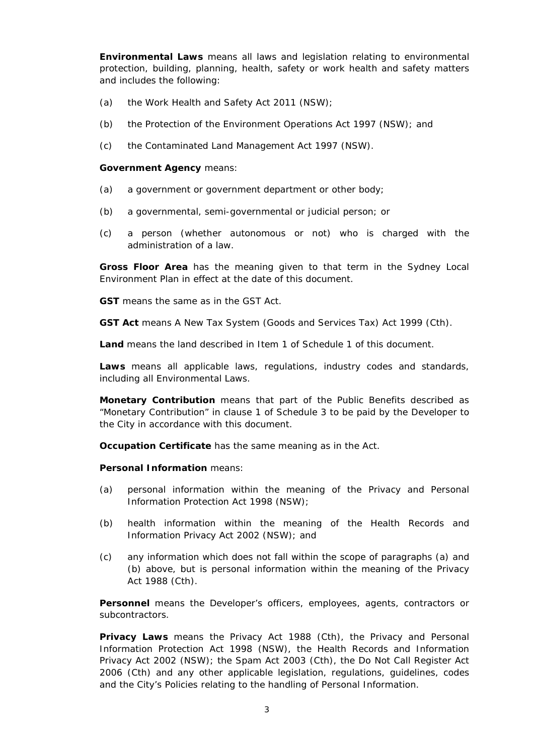**Environmental Laws** means all laws and legislation relating to environmental protection, building, planning, health, safety or work health and safety matters and includes the following:

- (a) the *Work Health and Safety Act 2011 (NSW)*;
- (b) the *Protection of the Environment Operations Act 1997 (NSW)*; and
- (c) the *Contaminated Land Management Act 1997 (NSW)*.

#### **Government Agency** means:

- (a) a government or government department or other body;
- (b) a governmental, semi-governmental or judicial person; or
- (c) a person (whether autonomous or not) who is charged with the administration of a law.

**Gross Floor Area** has the meaning given to that term in the *Sydney Local Environment Plan* in effect at the date of this document.

**GST** means the same as in the GST Act.

**GST Act** means *A New Tax System (Goods and Services Tax) Act 1999* (Cth).

**Land** means the land described in Item 1 of Schedule 1 of this document.

**Laws** means all applicable laws, regulations, industry codes and standards, including all Environmental Laws.

**Monetary Contribution** means that part of the Public Benefits described as "Monetary Contribution" in clause 1 of Schedule 3 to be paid by the Developer to the City in accordance with this document.

**Occupation Certificate** has the same meaning as in the Act.

#### **Personal Information** means:

- (a) personal information within the meaning of the *Privacy and Personal Information Protection Act 1998* (NSW);
- (b) health information within the meaning of the *Health Records and Information Privacy Act 2002* (NSW); and
- (c) any information which does not fall within the scope of paragraphs (a) and (b) above, but is personal information within the meaning of the *Privacy Act 1988* (Cth).

**Personnel** means the Developer's officers, employees, agents, contractors or subcontractors.

**Privacy Laws** means the *Privacy Act 1988* (Cth), the *Privacy and Personal Information Protection Act 1998* (NSW), the *Health Records and Information Privacy Act 2002* (NSW); the *Spam Act 2003* (Cth), the *Do Not Call Register Act 2006* (Cth) and any other applicable legislation, regulations, guidelines, codes and the City's Policies relating to the handling of Personal Information.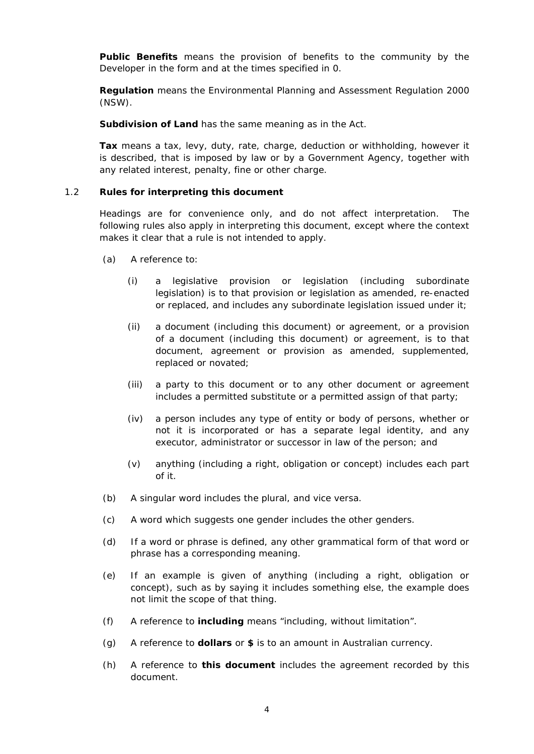**Public Benefits** means the provision of benefits to the community by the Developer in the form and at the times specified in [0.](#page-20-0)

**Regulation** means the *Environmental Planning and Assessment Regulation 2000 (NSW)*.

**Subdivision of Land** has the same meaning as in the Act.

**Tax** means a tax, levy, duty, rate, charge, deduction or withholding, however it is described, that is imposed by law or by a Government Agency, together with any related interest, penalty, fine or other charge.

#### <span id="page-6-0"></span>1.2 **Rules for interpreting this document**

Headings are for convenience only, and do not affect interpretation. The following rules also apply in interpreting this document, except where the context makes it clear that a rule is not intended to apply.

- (a) A reference to:
	- (i) a legislative provision or legislation (including subordinate legislation) is to that provision or legislation as amended, re-enacted or replaced, and includes any subordinate legislation issued under it;
	- (ii) a document (including this document) or agreement, or a provision of a document (including this document) or agreement, is to that document, agreement or provision as amended, supplemented, replaced or novated;
	- (iii) a party to this document or to any other document or agreement includes a permitted substitute or a permitted assign of that party;
	- (iv) a person includes any type of entity or body of persons, whether or not it is incorporated or has a separate legal identity, and any executor, administrator or successor in law of the person; and
	- (v) anything (including a right, obligation or concept) includes each part of it.
- (b) A singular word includes the plural, and vice versa.
- (c) A word which suggests one gender includes the other genders.
- (d) If a word or phrase is defined, any other grammatical form of that word or phrase has a corresponding meaning.
- (e) If an example is given of anything (including a right, obligation or concept), such as by saying it includes something else, the example does not limit the scope of that thing.
- (f) A reference to **including** means "including, without limitation".
- (g) A reference to **dollars** or **\$** is to an amount in Australian currency.
- (h) A reference to **this document** includes the agreement recorded by this document.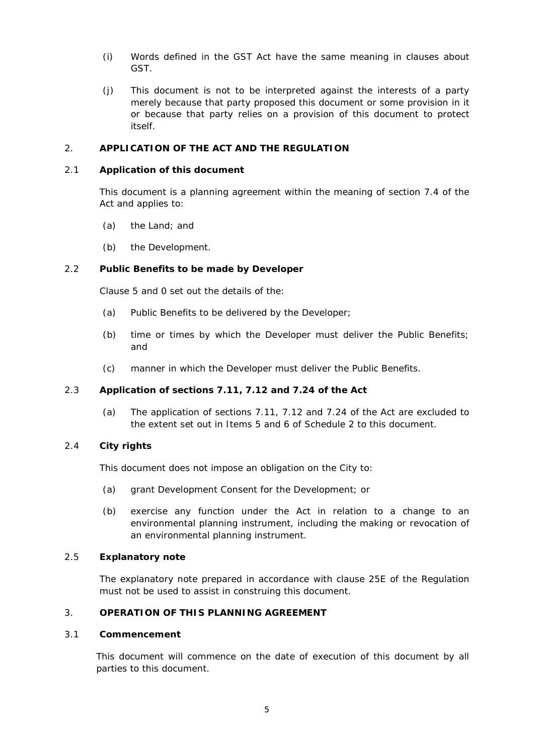- (i) Words defined in the GST Act have the same meaning in clauses about GST.
- (j) This document is not to be interpreted against the interests of a party merely because that party proposed this document or some provision in it or because that party relies on a provision of this document to protect itself.

## <span id="page-7-0"></span>2. **APPLICATION OF THE ACT AND THE REGULATION**

#### <span id="page-7-1"></span>2.1 **Application of this document**

This document is a planning agreement within the meaning of section 7.4 of the Act and applies to:

- (a) the Land; and
- (b) the Development.

# <span id="page-7-2"></span>2.2 **Public Benefits to be made by Developer**

Clause [5](#page-9-0) and [0](#page-20-0) set out the details of the:

- (a) Public Benefits to be delivered by the Developer;
- (b) time or times by which the Developer must deliver the Public Benefits; and
- (c) manner in which the Developer must deliver the Public Benefits.

#### <span id="page-7-3"></span>2.3 **Application of sections 7.11, 7.12 and 7.24 of the Act**

(a) The application of sections 7.11, 7.12 and 7.24 of the Act are excluded to the extent set out in Items [5](#page-19-1) and [6](#page-19-2) of [Schedule 2](#page-19-3) to this document.

# <span id="page-7-4"></span>2.4 **City rights**

This document does not impose an obligation on the City to:

- (a) grant Development Consent for the Development; or
- (b) exercise any function under the Act in relation to a change to an environmental planning instrument, including the making or revocation of an environmental planning instrument.

#### <span id="page-7-5"></span>2.5 **Explanatory note**

The explanatory note prepared in accordance with clause 25E of the Regulation must not be used to assist in construing this document.

# <span id="page-7-6"></span>3. **OPERATION OF THIS PLANNING AGREEMENT**

#### <span id="page-7-7"></span>3.1 **Commencement**

This document will commence on the date of execution of this document by all parties to this document.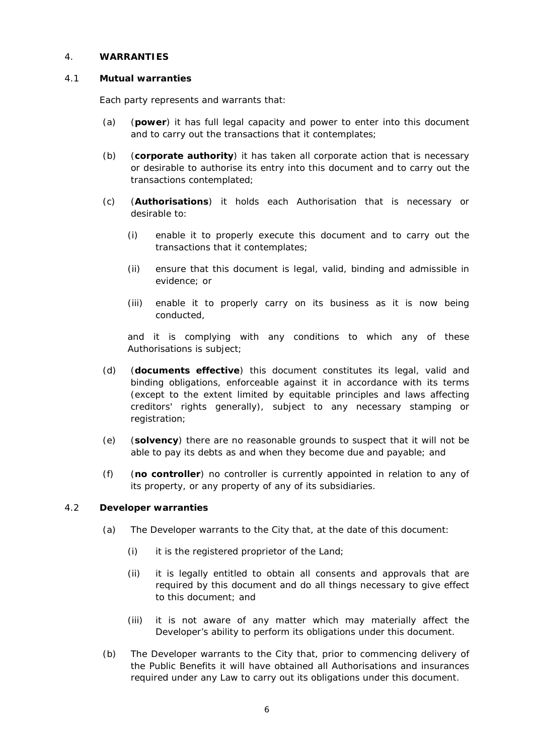#### <span id="page-8-0"></span>4. **WARRANTIES**

#### <span id="page-8-1"></span>4.1 **Mutual warranties**

Each party represents and warrants that:

- (a) (**power**) it has full legal capacity and power to enter into this document and to carry out the transactions that it contemplates;
- (b) (**corporate authority**) it has taken all corporate action that is necessary or desirable to authorise its entry into this document and to carry out the transactions contemplated;
- (c) (**Authorisations**) it holds each Authorisation that is necessary or desirable to:
	- (i) enable it to properly execute this document and to carry out the transactions that it contemplates;
	- (ii) ensure that this document is legal, valid, binding and admissible in evidence; or
	- (iii) enable it to properly carry on its business as it is now being conducted,

and it is complying with any conditions to which any of these Authorisations is subject;

- (d) (**documents effective**) this document constitutes its legal, valid and binding obligations, enforceable against it in accordance with its terms (except to the extent limited by equitable principles and laws affecting creditors' rights generally), subject to any necessary stamping or registration;
- (e) (**solvency**) there are no reasonable grounds to suspect that it will not be able to pay its debts as and when they become due and payable; and
- (f) (**no controller**) no controller is currently appointed in relation to any of its property, or any property of any of its subsidiaries.

#### <span id="page-8-2"></span>4.2 **Developer warranties**

- (a) The Developer warrants to the City that, at the date of this document:
	- (i) it is the registered proprietor of the Land;
	- (ii) it is legally entitled to obtain all consents and approvals that are required by this document and do all things necessary to give effect to this document; and
	- (iii) it is not aware of any matter which may materially affect the Developer's ability to perform its obligations under this document.
- (b) The Developer warrants to the City that, prior to commencing delivery of the Public Benefits it will have obtained all Authorisations and insurances required under any Law to carry out its obligations under this document.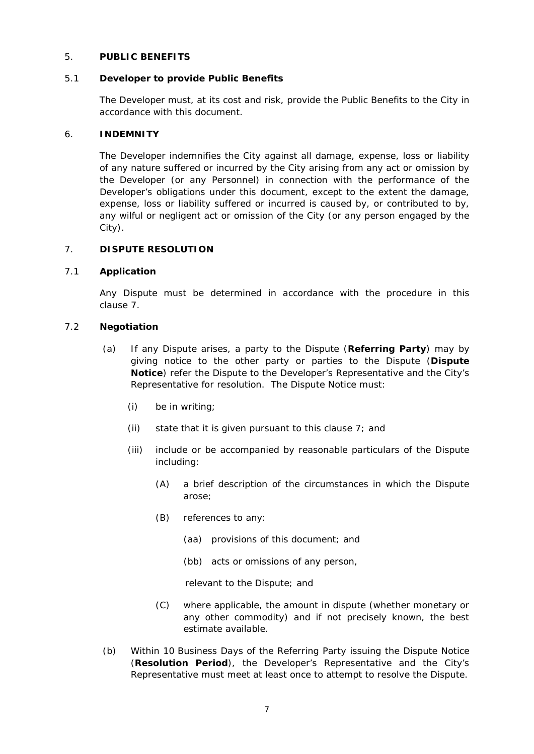# <span id="page-9-0"></span>5. **PUBLIC BENEFITS**

#### <span id="page-9-1"></span>5.1 **Developer to provide Public Benefits**

The Developer must, at its cost and risk, provide the Public Benefits to the City in accordance with this document.

#### <span id="page-9-2"></span>6. **INDEMNITY**

The Developer indemnifies the City against all damage, expense, loss or liability of any nature suffered or incurred by the City arising from any act or omission by the Developer (or any Personnel) in connection with the performance of the Developer's obligations under this document, except to the extent the damage, expense, loss or liability suffered or incurred is caused by, or contributed to by, any wilful or negligent act or omission of the City (or any person engaged by the City).

#### <span id="page-9-3"></span>7. **DISPUTE RESOLUTION**

# <span id="page-9-4"></span>7.1 **Application**

Any Dispute must be determined in accordance with the procedure in this clause [7.](#page-9-3)

#### <span id="page-9-5"></span>7.2 **Negotiation**

- (a) If any Dispute arises, a party to the Dispute (**Referring Party**) may by giving notice to the other party or parties to the Dispute (**Dispute Notice**) refer the Dispute to the Developer's Representative and the City's Representative for resolution. The Dispute Notice must:
	- (i) be in writing;
	- (ii) state that it is given pursuant to this clause [7;](#page-9-3) and
	- (iii) include or be accompanied by reasonable particulars of the Dispute including:
		- (A) a brief description of the circumstances in which the Dispute arose;
		- (B) references to any:
			- (aa) provisions of this document; and
			- (bb) acts or omissions of any person,

relevant to the Dispute; and

- (C) where applicable, the amount in dispute (whether monetary or any other commodity) and if not precisely known, the best estimate available.
- (b) Within 10 Business Days of the Referring Party issuing the Dispute Notice (**Resolution Period**), the Developer's Representative and the City's Representative must meet at least once to attempt to resolve the Dispute.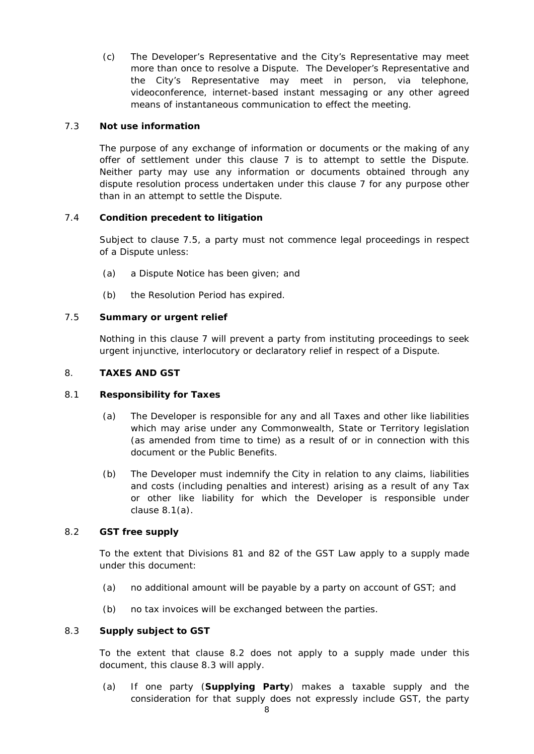(c) The Developer's Representative and the City's Representative may meet more than once to resolve a Dispute. The Developer's Representative and the City's Representative may meet in person, via telephone, videoconference, internet-based instant messaging or any other agreed means of instantaneous communication to effect the meeting.

### <span id="page-10-0"></span>7.3 **Not use information**

The purpose of any exchange of information or documents or the making of any offer of settlement under this clause [7](#page-9-3) is to attempt to settle the Dispute. Neither party may use any information or documents obtained through any dispute resolution process undertaken under this clause [7](#page-9-3) for any purpose other than in an attempt to settle the Dispute.

# <span id="page-10-1"></span>7.4 **Condition precedent to litigation**

Subject to clause [7.5,](#page-10-2) a party must not commence legal proceedings in respect of a Dispute unless:

- (a) a Dispute Notice has been given; and
- (b) the Resolution Period has expired.

# <span id="page-10-2"></span>7.5 **Summary or urgent relief**

Nothing in this clause [7](#page-9-3) will prevent a party from instituting proceedings to seek urgent injunctive, interlocutory or declaratory relief in respect of a Dispute.

#### <span id="page-10-3"></span>8. **TAXES AND GST**

#### <span id="page-10-7"></span><span id="page-10-4"></span>8.1 **Responsibility for Taxes**

- (a) The Developer is responsible for any and all Taxes and other like liabilities which may arise under any Commonwealth, State or Territory legislation (as amended from time to time) as a result of or in connection with this document or the Public Benefits.
- (b) The Developer must indemnify the City in relation to any claims, liabilities and costs (including penalties and interest) arising as a result of any Tax or other like liability for which the Developer is responsible under clause [8.1\(a\).](#page-10-7)

#### <span id="page-10-5"></span>8.2 **GST free supply**

To the extent that Divisions 81 and 82 of the GST Law apply to a supply made under this document:

- (a) no additional amount will be payable by a party on account of GST; and
- (b) no tax invoices will be exchanged between the parties.

#### <span id="page-10-6"></span>8.3 **Supply subject to GST**

To the extent that clause [8.2](#page-10-5) does not apply to a supply made under this document, this clause [8.3](#page-10-6) will apply.

<span id="page-10-8"></span>(a) If one party (**Supplying Party**) makes a taxable supply and the consideration for that supply does not expressly include GST, the party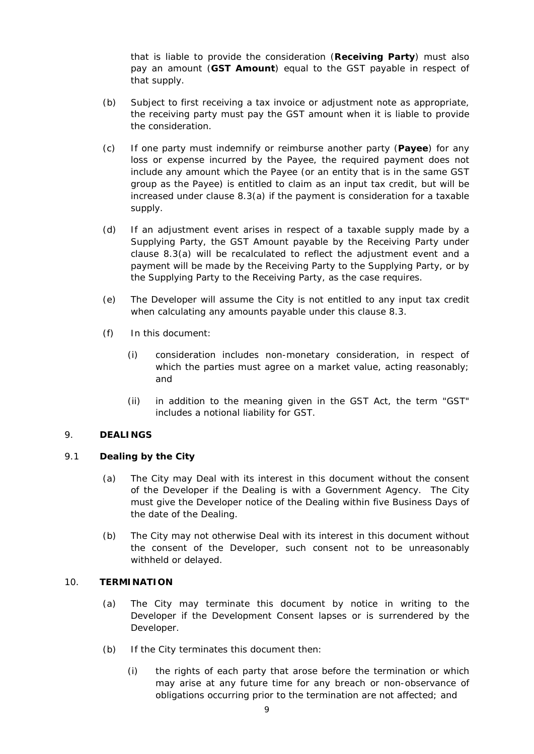that is liable to provide the consideration (**Receiving Party**) must also pay an amount (**GST Amount**) equal to the GST payable in respect of that supply.

- (b) Subject to first receiving a tax invoice or adjustment note as appropriate, the receiving party must pay the GST amount when it is liable to provide the consideration.
- (c) If one party must indemnify or reimburse another party (**Payee**) for any loss or expense incurred by the Payee, the required payment does not include any amount which the Payee (or an entity that is in the same GST group as the Payee) is entitled to claim as an input tax credit, but will be increased under clause [8.3\(a\)](#page-10-8) if the payment is consideration for a taxable supply.
- (d) If an adjustment event arises in respect of a taxable supply made by a Supplying Party, the GST Amount payable by the Receiving Party under clause [8.3\(a\)](#page-10-8) will be recalculated to reflect the adjustment event and a payment will be made by the Receiving Party to the Supplying Party, or by the Supplying Party to the Receiving Party, as the case requires.
- (e) The Developer will assume the City is not entitled to any input tax credit when calculating any amounts payable under this clause [8.3.](#page-10-6)
- (f) In this document:
	- (i) consideration includes non-monetary consideration, in respect of which the parties must agree on a market value, acting reasonably; and
	- (ii) in addition to the meaning given in the GST Act, the term "GST" includes a notional liability for GST.

#### <span id="page-11-0"></span>9. **DEALINGS**

### <span id="page-11-1"></span>9.1 **Dealing by the City**

- (a) The City may Deal with its interest in this document without the consent of the Developer if the Dealing is with a Government Agency. The City must give the Developer notice of the Dealing within five Business Days of the date of the Dealing.
- (b) The City may not otherwise Deal with its interest in this document without the consent of the Developer, such consent not to be unreasonably withheld or delayed.

# <span id="page-11-2"></span>10. **TERMINATION**

- (a) The City may terminate this document by notice in writing to the Developer if the Development Consent lapses or is surrendered by the Developer.
- (b) If the City terminates this document then:
	- (i) the rights of each party that arose before the termination or which may arise at any future time for any breach or non-observance of obligations occurring prior to the termination are not affected; and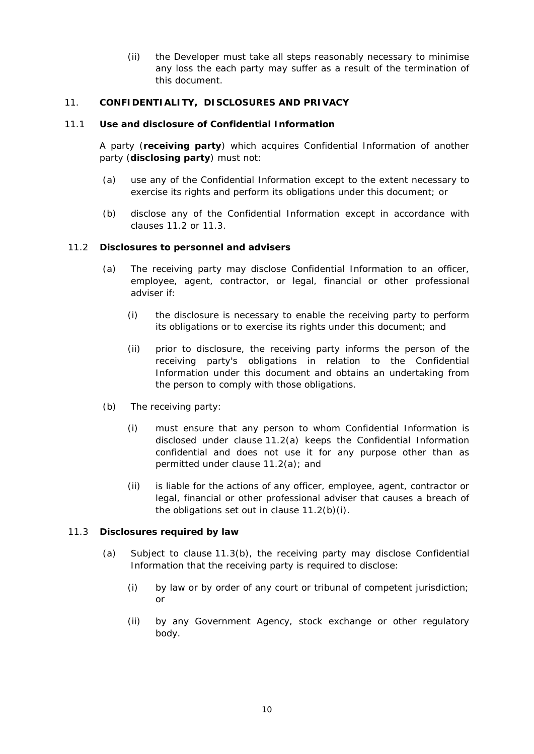(ii) the Developer must take all steps reasonably necessary to minimise any loss the each party may suffer as a result of the termination of this document.

# <span id="page-12-0"></span>11. **CONFIDENTIALITY, DISCLOSURES AND PRIVACY**

#### <span id="page-12-1"></span>11.1 **Use and disclosure of Confidential Information**

A party (**receiving party**) which acquires Confidential Information of another party (**disclosing party**) must not:

- (a) use any of the Confidential Information except to the extent necessary to exercise its rights and perform its obligations under this document; or
- (b) disclose any of the Confidential Information except in accordance with clauses [11.2](#page-12-2) or [11.3.](#page-12-3)

#### <span id="page-12-4"></span><span id="page-12-2"></span>11.2 **Disclosures to personnel and advisers**

- (a) The receiving party may disclose Confidential Information to an officer, employee, agent, contractor, or legal, financial or other professional adviser if:
	- (i) the disclosure is necessary to enable the receiving party to perform its obligations or to exercise its rights under this document; and
	- (ii) prior to disclosure, the receiving party informs the person of the receiving party's obligations in relation to the Confidential Information under this document and obtains an undertaking from the person to comply with those obligations.
- <span id="page-12-5"></span>(b) The receiving party:
	- (i) must ensure that any person to whom Confidential Information is disclosed under clause [11.2\(a\)](#page-12-4) keeps the Confidential Information confidential and does not use it for any purpose other than as permitted under clause [11.2\(a\);](#page-12-4) and
	- (ii) is liable for the actions of any officer, employee, agent, contractor or legal, financial or other professional adviser that causes a breach of the obligations set out in clause [11.2\(b\)\(i\).](#page-12-5)

#### <span id="page-12-6"></span><span id="page-12-3"></span>11.3 **Disclosures required by law**

- (a) Subject to clause [11.3](#page-12-3)[\(b\),](#page-13-4) the receiving party may disclose Confidential Information that the receiving party is required to disclose:
	- (i) by law or by order of any court or tribunal of competent jurisdiction; or
	- (ii) by any Government Agency, stock exchange or other regulatory body.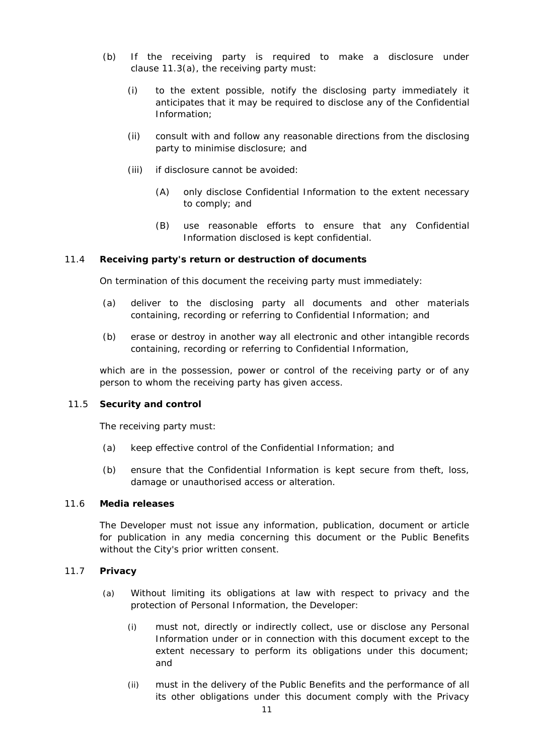- <span id="page-13-4"></span>(b) If the receiving party is required to make a disclosure under clause [11.3\(a\),](#page-12-6) the receiving party must:
	- (i) to the extent possible, notify the disclosing party immediately it anticipates that it may be required to disclose any of the Confidential Information;
	- (ii) consult with and follow any reasonable directions from the disclosing party to minimise disclosure; and
	- (iii) if disclosure cannot be avoided:
		- (A) only disclose Confidential Information to the extent necessary to comply; and
		- (B) use reasonable efforts to ensure that any Confidential Information disclosed is kept confidential.

#### <span id="page-13-0"></span>11.4 **Receiving party's return or destruction of documents**

On termination of this document the receiving party must immediately:

- (a) deliver to the disclosing party all documents and other materials containing, recording or referring to Confidential Information; and
- (b) erase or destroy in another way all electronic and other intangible records containing, recording or referring to Confidential Information,

which are in the possession, power or control of the receiving party or of any person to whom the receiving party has given access.

#### <span id="page-13-1"></span>11.5 **Security and control**

The receiving party must:

- (a) keep effective control of the Confidential Information; and
- (b) ensure that the Confidential Information is kept secure from theft, loss, damage or unauthorised access or alteration.

#### <span id="page-13-2"></span>11.6 **Media releases**

The Developer must not issue any information, publication, document or article for publication in any media concerning this document or the Public Benefits without the City's prior written consent.

#### <span id="page-13-3"></span>11.7 **Privacy**

- (a) Without limiting its obligations at law with respect to privacy and the protection of Personal Information, the Developer:
	- (i) must not, directly or indirectly collect, use or disclose any Personal Information under or in connection with this document except to the extent necessary to perform its obligations under this document; and
	- (ii) must in the delivery of the Public Benefits and the performance of all its other obligations under this document comply with the Privacy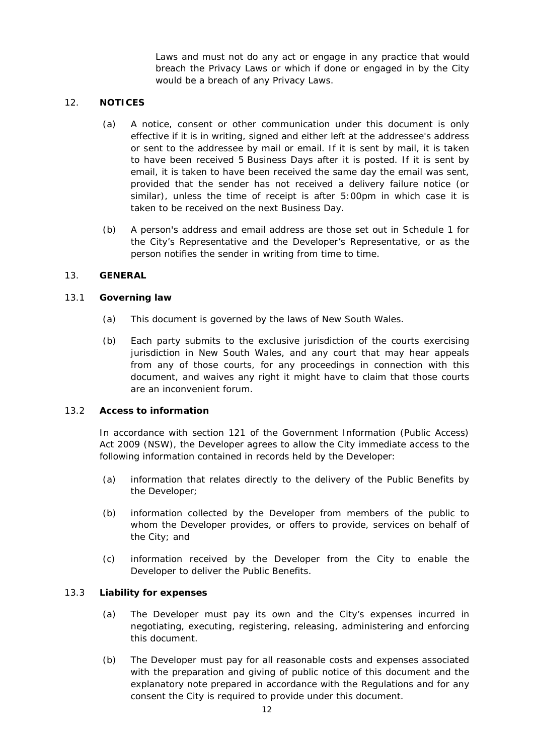Laws and must not do any act or engage in any practice that would breach the Privacy Laws or which if done or engaged in by the City would be a breach of any Privacy Laws.

### <span id="page-14-0"></span>12. **NOTICES**

- (a) A notice, consent or other communication under this document is only effective if it is in writing, signed and either left at the addressee's address or sent to the addressee by mail or email. If it is sent by mail, it is taken to have been received 5 Business Days after it is posted. If it is sent by email, it is taken to have been received the same day the email was sent, provided that the sender has not received a delivery failure notice (or similar), unless the time of receipt is after 5:00pm in which case it is taken to be received on the next Business Day.
- (b) A person's address and email address are those set out in [Schedule 1](#page-18-1) for the City's Representative and the Developer's Representative, or as the person notifies the sender in writing from time to time.

# <span id="page-14-1"></span>13. **GENERAL**

# <span id="page-14-2"></span>13.1 **Governing law**

- (a) This document is governed by the laws of New South Wales.
- (b) Each party submits to the exclusive jurisdiction of the courts exercising jurisdiction in New South Wales, and any court that may hear appeals from any of those courts, for any proceedings in connection with this document, and waives any right it might have to claim that those courts are an inconvenient forum.

#### <span id="page-14-3"></span>13.2 **Access to information**

In accordance with section 121 of the *Government Information (Public Access) Act 2009 (NSW)*, the Developer agrees to allow the City immediate access to the following information contained in records held by the Developer:

- (a) information that relates directly to the delivery of the Public Benefits by the Developer;
- (b) information collected by the Developer from members of the public to whom the Developer provides, or offers to provide, services on behalf of the City; and
- (c) information received by the Developer from the City to enable the Developer to deliver the Public Benefits.

# <span id="page-14-4"></span>13.3 **Liability for expenses**

- (a) The Developer must pay its own and the City's expenses incurred in negotiating, executing, registering, releasing, administering and enforcing this document.
- (b) The Developer must pay for all reasonable costs and expenses associated with the preparation and giving of public notice of this document and the explanatory note prepared in accordance with the Regulations and for any consent the City is required to provide under this document.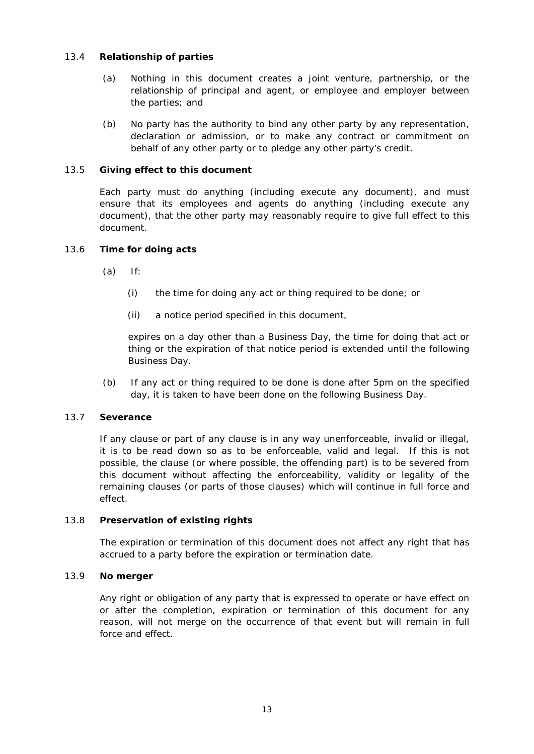# <span id="page-15-0"></span>13.4 **Relationship of parties**

- (a) Nothing in this document creates a joint venture, partnership, or the relationship of principal and agent, or employee and employer between the parties; and
- (b) No party has the authority to bind any other party by any representation, declaration or admission, or to make any contract or commitment on behalf of any other party or to pledge any other party's credit.

# <span id="page-15-1"></span>13.5 **Giving effect to this document**

Each party must do anything (including execute any document), and must ensure that its employees and agents do anything (including execute any document), that the other party may reasonably require to give full effect to this document.

# <span id="page-15-2"></span>13.6 **Time for doing acts**

- $(a)$  If:
	- (i) the time for doing any act or thing required to be done; or
	- (ii) a notice period specified in this document,

expires on a day other than a Business Day, the time for doing that act or thing or the expiration of that notice period is extended until the following Business Day.

(b) If any act or thing required to be done is done after 5pm on the specified day, it is taken to have been done on the following Business Day.

#### <span id="page-15-3"></span>13.7 **Severance**

If any clause or part of any clause is in any way unenforceable, invalid or illegal, it is to be read down so as to be enforceable, valid and legal. If this is not possible, the clause (or where possible, the offending part) is to be severed from this document without affecting the enforceability, validity or legality of the remaining clauses (or parts of those clauses) which will continue in full force and effect.

#### <span id="page-15-4"></span>13.8 **Preservation of existing rights**

The expiration or termination of this document does not affect any right that has accrued to a party before the expiration or termination date.

#### <span id="page-15-5"></span>13.9 **No merger**

Any right or obligation of any party that is expressed to operate or have effect on or after the completion, expiration or termination of this document for any reason, will not merge on the occurrence of that event but will remain in full force and effect.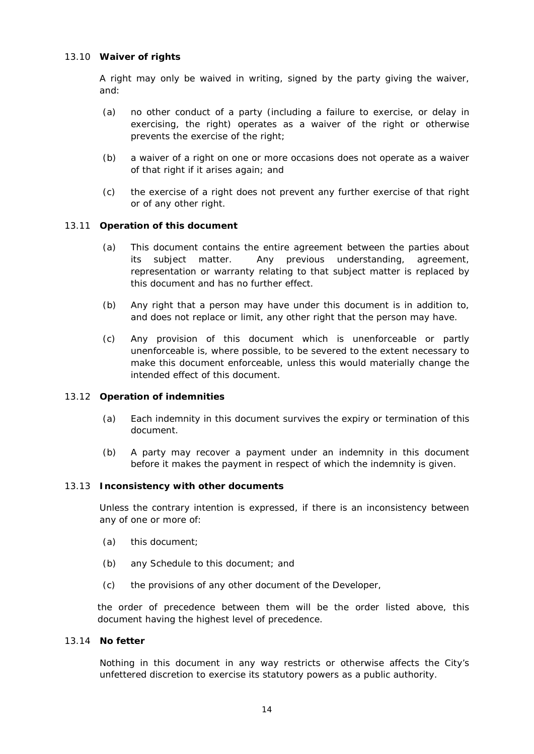### <span id="page-16-0"></span>13.10 **Waiver of rights**

A right may only be waived in writing, signed by the party giving the waiver, and:

- (a) no other conduct of a party (including a failure to exercise, or delay in exercising, the right) operates as a waiver of the right or otherwise prevents the exercise of the right;
- (b) a waiver of a right on one or more occasions does not operate as a waiver of that right if it arises again; and
- (c) the exercise of a right does not prevent any further exercise of that right or of any other right.

#### <span id="page-16-1"></span>13.11 **Operation of this document**

- (a) This document contains the entire agreement between the parties about its subject matter. Any previous understanding, agreement, representation or warranty relating to that subject matter is replaced by this document and has no further effect.
- (b) Any right that a person may have under this document is in addition to, and does not replace or limit, any other right that the person may have.
- (c) Any provision of this document which is unenforceable or partly unenforceable is, where possible, to be severed to the extent necessary to make this document enforceable, unless this would materially change the intended effect of this document.

#### <span id="page-16-2"></span>13.12 **Operation of indemnities**

- (a) Each indemnity in this document survives the expiry or termination of this document.
- (b) A party may recover a payment under an indemnity in this document before it makes the payment in respect of which the indemnity is given.

#### <span id="page-16-3"></span>13.13 **Inconsistency with other documents**

Unless the contrary intention is expressed, if there is an inconsistency between any of one or more of:

- (a) this document;
- (b) any Schedule to this document; and
- (c) the provisions of any other document of the Developer,

the order of precedence between them will be the order listed above, this document having the highest level of precedence.

#### <span id="page-16-4"></span>13.14 **No fetter**

Nothing in this document in any way restricts or otherwise affects the City's unfettered discretion to exercise its statutory powers as a public authority.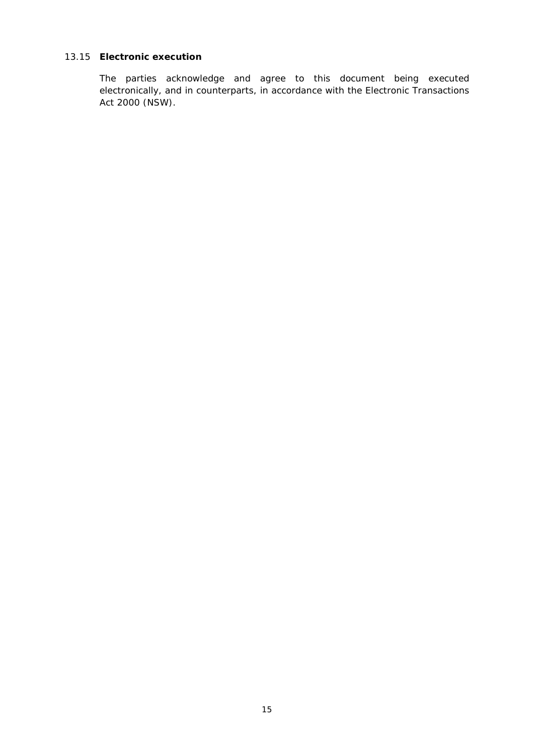# <span id="page-17-0"></span>13.15 **Electronic execution**

The parties acknowledge and agree to this document being executed electronically, and in counterparts, in accordance with the *Electronic Transactions Act 2000* (NSW).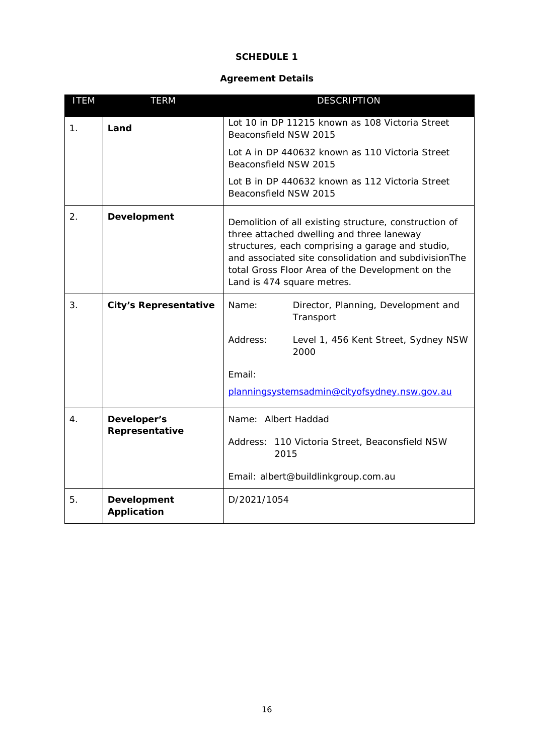# **SCHEDULE 1**

# **Agreement Details**

<span id="page-18-1"></span><span id="page-18-0"></span>

| <b>ITEM</b>    | <b>TERM</b>                                          | <b>DESCRIPTION</b>                                                                                                                                                                                                                                                                               |  |
|----------------|------------------------------------------------------|--------------------------------------------------------------------------------------------------------------------------------------------------------------------------------------------------------------------------------------------------------------------------------------------------|--|
| $\mathbf{1}$ . | Land                                                 | Lot 10 in DP 11215 known as 108 Victoria Street<br>Beaconsfield NSW 2015                                                                                                                                                                                                                         |  |
|                |                                                      | Lot A in DP 440632 known as 110 Victoria Street<br>Beaconsfield NSW 2015                                                                                                                                                                                                                         |  |
|                |                                                      | Lot B in DP 440632 known as 112 Victoria Street<br>Beaconsfield NSW 2015                                                                                                                                                                                                                         |  |
| 2.5            | Development                                          | Demolition of all existing structure, construction of<br>three attached dwelling and three laneway<br>structures, each comprising a garage and studio,<br>and associated site consolidation and subdivisionThe<br>total Gross Floor Area of the Development on the<br>Land is 474 square metres. |  |
| 3.             | <b>City's Representative</b>                         | Name:<br>Director, Planning, Development and<br>Transport                                                                                                                                                                                                                                        |  |
|                |                                                      | Address:<br>Level 1, 456 Kent Street, Sydney NSW<br>2000                                                                                                                                                                                                                                         |  |
|                |                                                      | Email:                                                                                                                                                                                                                                                                                           |  |
|                |                                                      | planningsystemsadmin@cityofsydney.nsw.gov.au                                                                                                                                                                                                                                                     |  |
| $\mathbf 4$ .  | Name: Albert Haddad<br>Developer's<br>Representative |                                                                                                                                                                                                                                                                                                  |  |
|                |                                                      | Address: 110 Victoria Street, Beaconsfield NSW<br>2015                                                                                                                                                                                                                                           |  |
|                |                                                      | Email: albert@buildlinkgroup.com.au                                                                                                                                                                                                                                                              |  |
| 5.             | Development<br><b>Application</b>                    | D/2021/1054                                                                                                                                                                                                                                                                                      |  |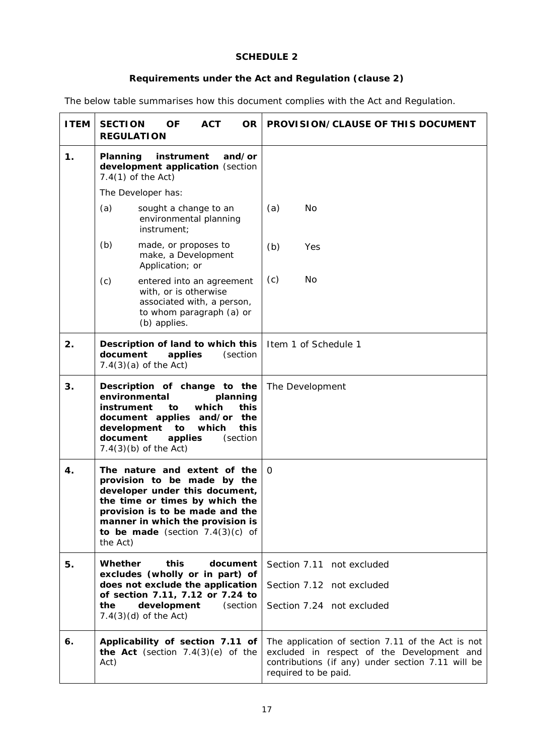# **SCHEDULE 2**

# **Requirements under the Act and Regulation (clause [2\)](#page-7-0)**

<span id="page-19-3"></span><span id="page-19-0"></span>The below table summarises how this document complies with the Act and Regulation.

<span id="page-19-2"></span><span id="page-19-1"></span>

| <b>ITEM</b> | <b>OF</b><br><b>ACT</b><br><b>SECTION</b><br><b>OR</b><br><b>REGULATION</b>                                                                                                                                                                              | <b>PROVISION/CLAUSE OF THIS DOCUMENT</b>                                                                                                                                     |
|-------------|----------------------------------------------------------------------------------------------------------------------------------------------------------------------------------------------------------------------------------------------------------|------------------------------------------------------------------------------------------------------------------------------------------------------------------------------|
| 1.          | instrument<br>Planning<br>and/or<br>development application (section<br>$7.4(1)$ of the Act)                                                                                                                                                             |                                                                                                                                                                              |
|             | The Developer has:                                                                                                                                                                                                                                       |                                                                                                                                                                              |
|             | (a)<br>sought a change to an<br>environmental planning<br>instrument;                                                                                                                                                                                    | No<br>(a)                                                                                                                                                                    |
|             | (b)<br>made, or proposes to<br>make, a Development<br>Application; or                                                                                                                                                                                    | (b)<br>Yes                                                                                                                                                                   |
|             | (c)<br>entered into an agreement<br>with, or is otherwise<br>associated with, a person,<br>to whom paragraph (a) or<br>(b) applies.                                                                                                                      | (c)<br>No                                                                                                                                                                    |
| 2.          | Description of land to which this<br>document<br>applies<br>(section<br>$7.4(3)(a)$ of the Act)                                                                                                                                                          | Item 1 of Schedule 1                                                                                                                                                         |
| 3.          | Description of change to the<br>environmental<br>planning<br>which<br>this<br>instrument<br>to<br>document applies and/or<br>the<br>development<br>to<br>which<br>this<br>document<br>applies<br>(section<br>$7.4(3)(b)$ of the Act)                     | The Development                                                                                                                                                              |
| 4.          | The nature and extent of the<br>provision to be made by the<br>developer under this document,<br>the time or times by which the<br>provision is to be made and the<br>manner in which the provision is<br>to be made (section $7.4(3)(c)$ of<br>the Act) | $\Omega$                                                                                                                                                                     |
| 5.          | Whether<br>this<br>document<br>excludes (wholly or in part) of                                                                                                                                                                                           | Section 7.11 not excluded                                                                                                                                                    |
|             | does not exclude the application                                                                                                                                                                                                                         | Section 7.12 not excluded                                                                                                                                                    |
|             | of section 7.11, 7.12 or 7.24 to<br>development<br>the<br>(section<br>$7.4(3)(d)$ of the Act)                                                                                                                                                            | Section 7.24 not excluded                                                                                                                                                    |
| 6.          | Applicability of section 7.11 of<br>the Act (section $7.4(3)(e)$ of the<br>Act)                                                                                                                                                                          | The application of section 7.11 of the Act is not<br>excluded in respect of the Development and<br>contributions (if any) under section 7.11 will be<br>required to be paid. |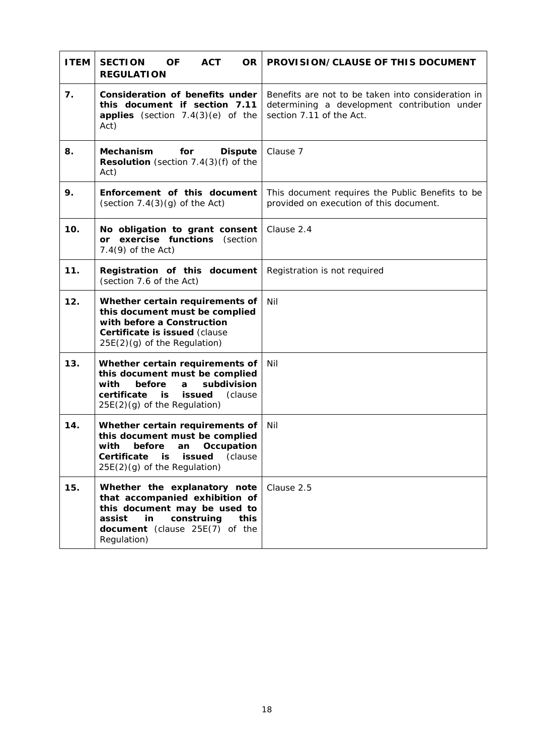<span id="page-20-0"></span>

| <b>ITEM</b> | <b>ACT</b><br><b>SECTION</b><br><b>OF</b><br><b>OR</b><br><b>REGULATION</b>                                                                                                                  | <b>PROVISION/CLAUSE OF THIS DOCUMENT</b>                                                                                       |
|-------------|----------------------------------------------------------------------------------------------------------------------------------------------------------------------------------------------|--------------------------------------------------------------------------------------------------------------------------------|
| 7.          | Consideration of benefits under<br>this document if section 7.11<br>applies (section $7.4(3)(e)$ of the<br>Act)                                                                              | Benefits are not to be taken into consideration in<br>determining a development contribution under<br>section 7.11 of the Act. |
| 8.          | <b>Mechanism</b><br>for<br><b>Dispute</b><br>Resolution (section 7.4(3)(f) of the<br>Act)                                                                                                    | Clause 7                                                                                                                       |
| 9.          | Enforcement of this document<br>(section $7.4(3)(g)$ of the Act)                                                                                                                             | This document requires the Public Benefits to be<br>provided on execution of this document.                                    |
| 10.         | No obligation to grant consent<br>or exercise functions (section<br>$7.4(9)$ of the Act)                                                                                                     | Clause 2.4                                                                                                                     |
| 11.         | Registration of this document<br>(section 7.6 of the Act)                                                                                                                                    | Registration is not required                                                                                                   |
| 12.         | Whether certain requirements of<br>this document must be complied<br>with before a Construction<br>Certificate is issued (clause<br>25E(2)(g) of the Regulation)                             | Nil                                                                                                                            |
| 13.         | Whether certain requirements of<br>this document must be complied<br>with<br>before<br>subdivision<br>a<br>certificate<br>is<br>issued<br>(clause<br>$25E(2)(q)$ of the Regulation)          | Nil                                                                                                                            |
| 14.         | Whether certain requirements of<br>this document must be complied<br>with<br>before<br>Occupation<br>an<br>Certificate<br>issued<br>is<br>(clause<br>$25E(2)(g)$ of the Regulation)          | Nil                                                                                                                            |
| 15.         | Whether the explanatory note<br>that accompanied exhibition of<br>this document may be used to<br>construing<br>assist<br>in<br><b>this</b><br>document (clause 25E(7) of the<br>Regulation) | Clause 2.5                                                                                                                     |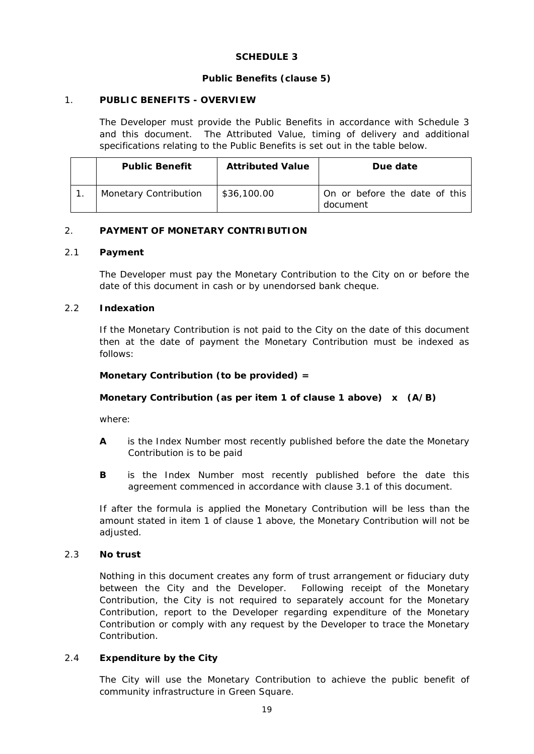# **SCHEDULE 3**

# **Public Benefits (clause 5)**

### <span id="page-21-6"></span><span id="page-21-0"></span>1. **PUBLIC BENEFITS - OVERVIEW**

The Developer must provide the Public Benefits in accordance with Schedule 3 and this document. The Attributed Value, timing of delivery and additional specifications relating to the Public Benefits is set out in the table below.

| <b>Public Benefit</b>        | <b>Attributed Value</b> | Due date                                  |
|------------------------------|-------------------------|-------------------------------------------|
| <b>Monetary Contribution</b> | \$36,100.00             | On or before the date of this<br>document |

# <span id="page-21-1"></span>2. **PAYMENT OF MONETARY CONTRIBUTION**

#### <span id="page-21-2"></span>2.1 **Payment**

The Developer must pay the Monetary Contribution to the City on or before the date of this document in cash or by unendorsed bank cheque.

# <span id="page-21-3"></span>2.2 **Indexation**

If the Monetary Contribution is not paid to the City on the date of this document then at the date of payment the Monetary Contribution must be indexed as follows:

# **Monetary Contribution (to be provided) =**

# **Monetary Contribution (as per item 1 of clause 1 above) x (A/B)**

where:

- **A** is the Index Number most recently published before the date the Monetary Contribution is to be paid
- **B** is the Index Number most recently published before the date this agreement commenced in accordance with clause [3.1](#page-7-7) of this document.

If after the formula is applied the Monetary Contribution will be less than the amount stated in item 1 of clause 1 above, the Monetary Contribution will not be adjusted.

#### <span id="page-21-4"></span>2.3 **No trust**

Nothing in this document creates any form of trust arrangement or fiduciary duty between the City and the Developer. Following receipt of the Monetary Contribution, the City is not required to separately account for the Monetary Contribution, report to the Developer regarding expenditure of the Monetary Contribution or comply with any request by the Developer to trace the Monetary Contribution.

#### <span id="page-21-5"></span>2.4 **Expenditure by the City**

The City will use the Monetary Contribution to achieve the public benefit of community infrastructure in Green Square.